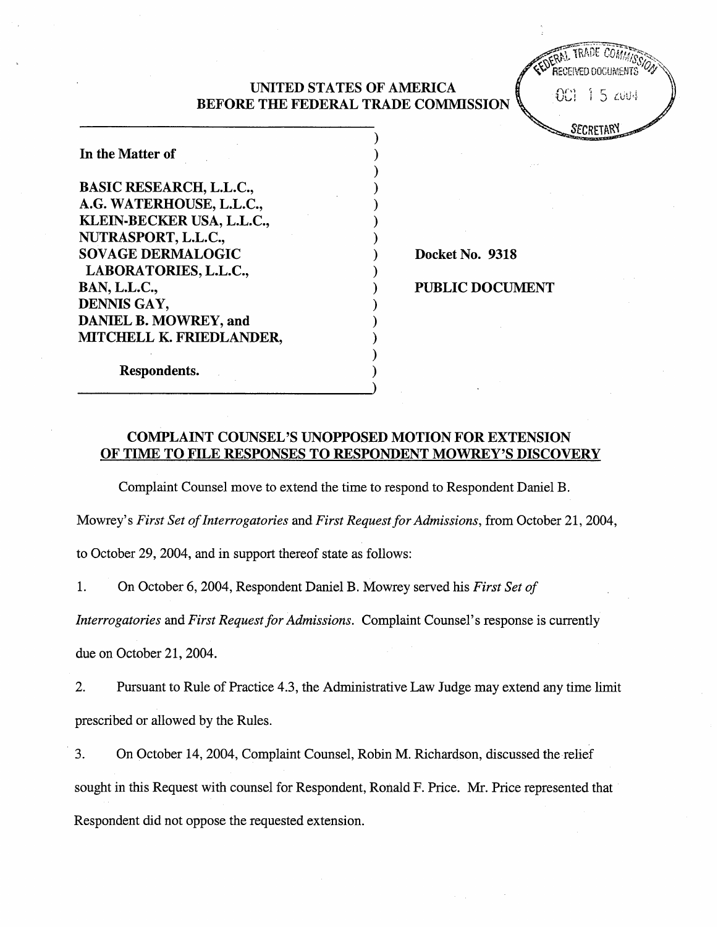## UNITED STATES OF AMERICA BEFORE THE FEDERAL TRADE COMMSSION

**RAT TRADE COM** RECEIVED DOCUMENTS  $001 - 15 = 004$ 

**SECRETARY** 

In the Matter of BASIC RESEARCH, L.L.C., G. WATERHOUSE, L.L.C. KLEIN-BECKER USA, L.L.C., NURASPORT, L.L.C. SOVAGE DERMALOGIC LABORATORIES, L.L.C., BAN, L.L.C. DENNIS GAY DANIEL B. MOWREY, and MITCHELL K. FRIEDLANDER,

Docket No. 9318

PUBLIC DOCUMENT

Respondents.

# COMPLAINT COUNSEL'S UNOPPOSED MOTION FOR EXTENSION OF TIME TO FILE RESPONSES TO RESPONDENT MOWREY'S DISCOVERY

Complaint Counsel move to extend the time to respond to Respondent Daniel B.

Mowrey's First Set of Interrogatories and First Request for Admissions, from October 21, 2004,

to October 29, 2004, and in support thereof state as follows:

1. On October 6, 2004 , Respondent Daniel B. Mowrey served his First Set of

Interrogatories and First Request for Admissions. Complaint Counsel's response is currently

due on October 21, 2004.

 $\overline{2}$ . Pursuant to Rule of Practice 4.3, the Administrative Law Judge may extend any time limit prescribed or allowed by the Rules.

3. On October 14, 2004, Complaint Counsel, Robin M. Richardson, discussed the relief sought in this Request with counsel for Respondent, Ronald F. Price. Mr. Price represented that Respondent did not oppose the requested extension.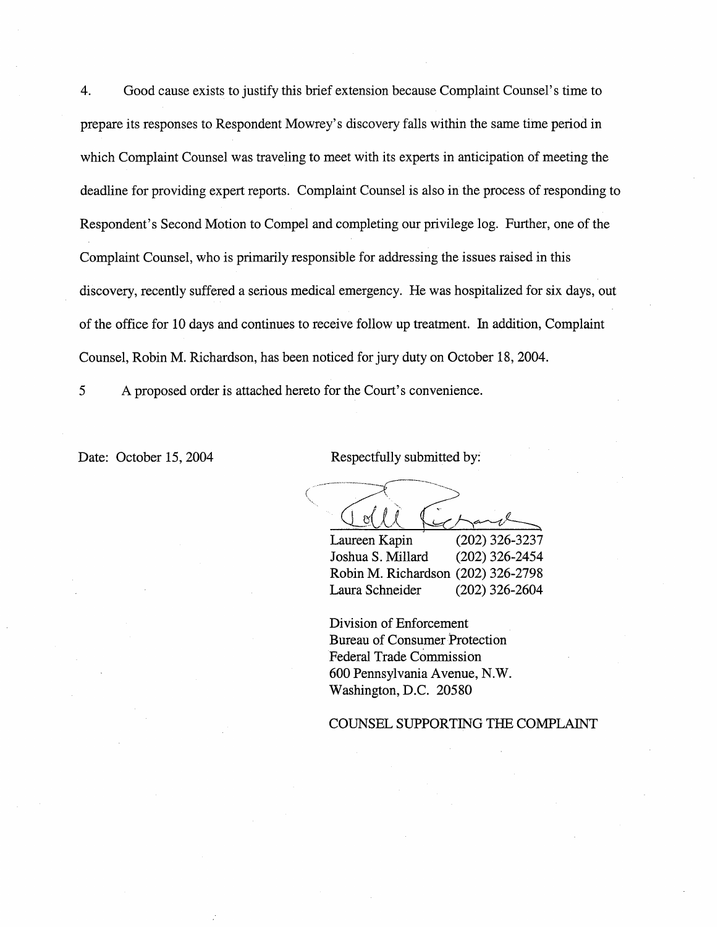$\overline{4}$ . Good cause exists to justify this brief extension because Complaint Counsel's time to prepare its responses to Respondent Mowrey s discovery falls within the same time period in which Complaint Counsel was traveling to meet with its experts in anticipation of meeting the deadline for providing expert reports. Complaint Counsel is also in the process of responding to Respondent's Second Motion to Compel and completing our privilege log. Further, one of the Complaint Counsel, who is primarily responsible for addressing the issues raised in this discovery, recently suffered a serious medical emergency. He was hospitalized for six days, out of the office for 10 days and continues to receive follow up treatment. In addition, Complaint Counsel, Robin M. Richardson, has been noticed for jury duty on October 18 , 2004.

5 A proposed order is attached hereto for the Court's convenience.

Date: October 15, 2004 Respectfully submitted by:

Laureen Kapin

(202) 326-3237<br>(202) 326-2454 Joshua S. Millard Robin M. Richardson (202) 326-2798 Laura Schneider (202) 326-2604

Division of Enforcement Bureau of Consumer Protection Federal Trade Commission 600 Pennsylvania Avenue, N. Washington, D.C. 20580

COUNSEL SUPPORTING THE COMPLAINT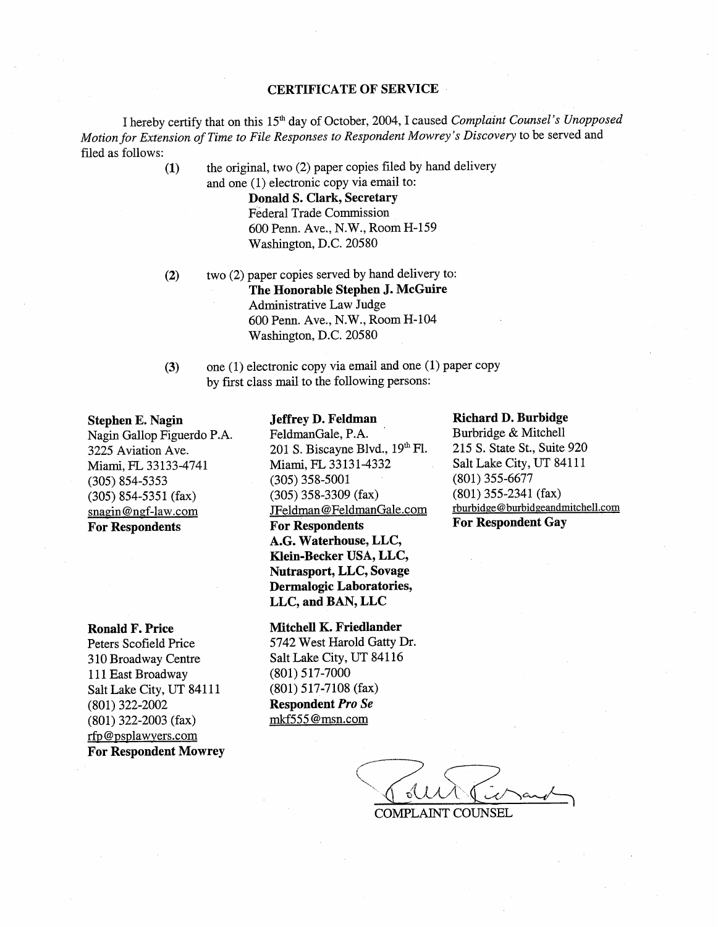## CERTIFICATE OF SERVICE

I hereby certify that on this 15'" day of October, 2004 , I caused Complaint Counsel's Unopposed Motion for Extension of Time to File Responses to Respondent Mowrey's Discovery to be served and filed as follows:

(1) the original, two  $(2)$  paper copies filed by hand delivery

and one (1) electronic copy via emai1 to: Donald S. Clark, Secretary Federal Trade Commission 600 Penn. Ave., N.W., Room H-159 Washington, D.C. 20580

- two (2) paper copies served by hand delivery to: The Honorable Stephen J. McGuire Administrative Law Judge 600 Penn. Ave., N.W., Room H-104 Washington, D.C. 20580 (2)
- (3) one (1) electronic copy via email and one (1) paper copy by first class mail to the following persons:

### Stephen E. Nagin

Nagin Gallop Figuerdo 3225 Aviation Ave. Miami, FL 33133-4741 (305) 854-5353 (305) 854-5351 (fax) snagin@ngf-law.com For Respondents

#### Ronald F. Price

Peters Scofield Price 310 Broadway Centre 111 East Broadway Salt Lake City, UT 84111 (801) 322-2002 (801) 322-2003 (fax) rfp@psplawyers.com For Respondent Mowrey

#### Jeffrey D. Feldman

FeldmanGale, P. 201 S. Biscayne Blvd.,  $19<sup>th</sup>$  Fl. Miami, FL 33131-4332 (305) 358-5001 (305) 358-3309 (fax) JFeldman@FeldmanGale.com For Respondents G. Waterhonse, LLC, Klein-Becker USA, LLC, Nutrasport, LLC, Sovage Dermalogic Laboratories LLC, and BAN, LLC

## Mitchell K. Friedlander

5742 West Harold Gatty Dr. Salt Lake City, UT 84116 (80l) 517-7000 (801) 517-7108 (fax) Respondent Pro Se mkf555@msn.com

#### Richard D. Burbidge

Burbridge & Mitchell 215 S. State St., Suite 920 Salt Lake City, UT 84111 (801) 355-6677 (801) 355-2341 (fax) rburbidge@burbidgeandmitchell.com For Respondent Gay

UN Ciran

COMPLAINT COUNSEL